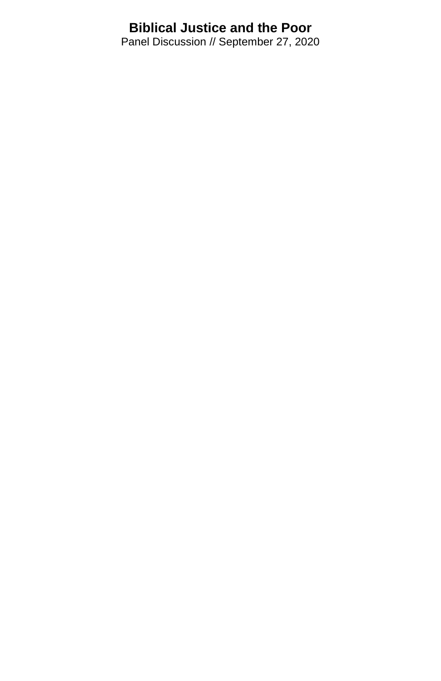## **Biblical Justice and the Poor**

Panel Discussion // September 27, 2020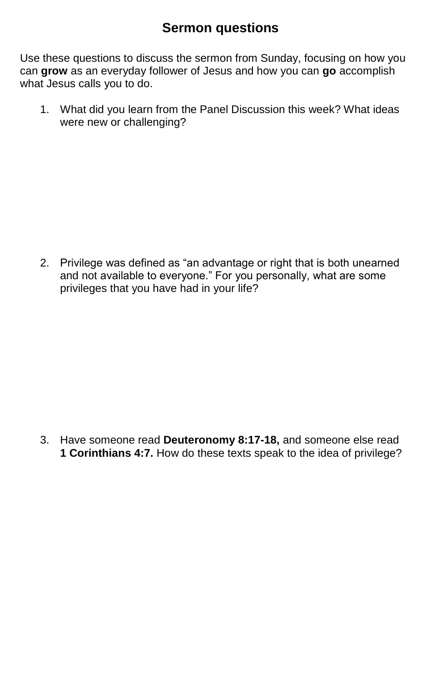## **Sermon questions**

Use these questions to discuss the sermon from Sunday, focusing on how you can **grow** as an everyday follower of Jesus and how you can **go** accomplish what Jesus calls you to do.

1. What did you learn from the Panel Discussion this week? What ideas were new or challenging?

2. Privilege was defined as "an advantage or right that is both unearned and not available to everyone." For you personally, what are some privileges that you have had in your life?

3. Have someone read **Deuteronomy 8:17-18,** and someone else read **1 Corinthians 4:7.** How do these texts speak to the idea of privilege?